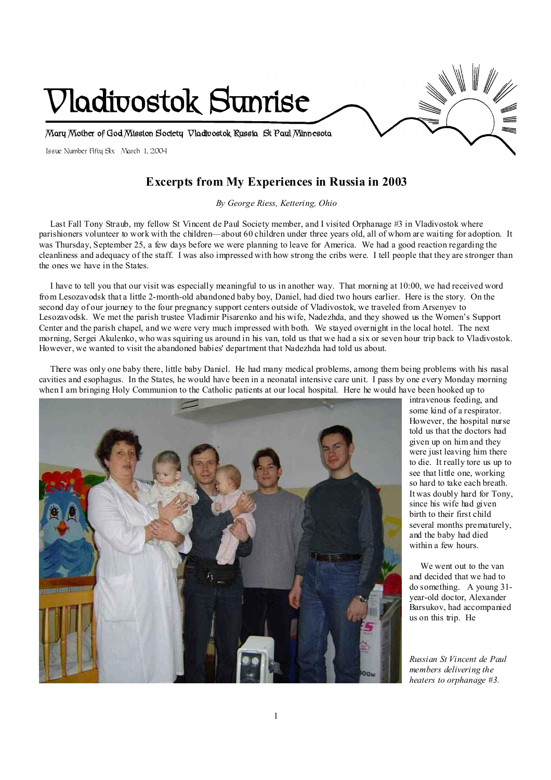

## **Excerpts from My Experiences in Russia in 2003**

*By George Riess, Kettering, Ohio* 

Last Fall Tony Straub, my fellow St Vincent de Paul Society member, and I visited Orphanage #3 in Vladivostok where parishioners volunteer to work with the children—about 60 children under three years old, all of whom are waiting for adoption. It was Thursday, September 25, a few days before we were planning to leave for America. We had a good reaction regarding the cleanliness and adequacy of the staff. I was also impressed with how strong the cribs were. I tell people that they are stronger than the ones we have in the States.

 I have to tell you that our visit was especially meaningful to us in another way. That morning at 10:00, we had received word from Lesozavodsk that a little 2-month-old abandoned baby boy, Daniel, had died two hours earlier. Here is the story. On the second day of our journey to the four pregnancy support centers outside of Vladivostok, we traveled from Arsenyev to Lesozavodsk. We met the parish trustee Vladimir Pisarenko and his wife, Nadezhda, and they showed us the Women's Support Center and the parish chapel, and we were very much impressed with both. We stayed overnight in the local hotel. The next morning, Sergei Akulenko, who was squiring us around in his van, told us that we had a six or seven hour trip back to Vladivostok. However, we wanted to visit the abandoned babies' department that Nadezhda had told us about.

 There was only one baby there, little baby Daniel. He had many medical problems, among them being problems with his nasal cavities and esophagus. In the States, he would have been in a neonatal intensive care unit. I pass by one every Monday morning when I am bringing Holy Communion to the Catholic patients at our local hospital. Here he would have been hooked up to



intravenous feeding, and some kind of a respirator. However, the hospital nurse told us that the doctors had given up on him and they were just leaving him there to die. It really tore us up to see that little one, working so hard to take each breath. It was doubly hard for Tony, since his wife had given birth to their first child several months prematurely, and the baby had died within a few hours.

 We went out to the van and decided that we had to do something. A young 31 year-old doctor, Alexander Barsukov, had accompanied us on this trip. He

*Russian St Vincent de Paul members delivering the heaters to orphanage #3.*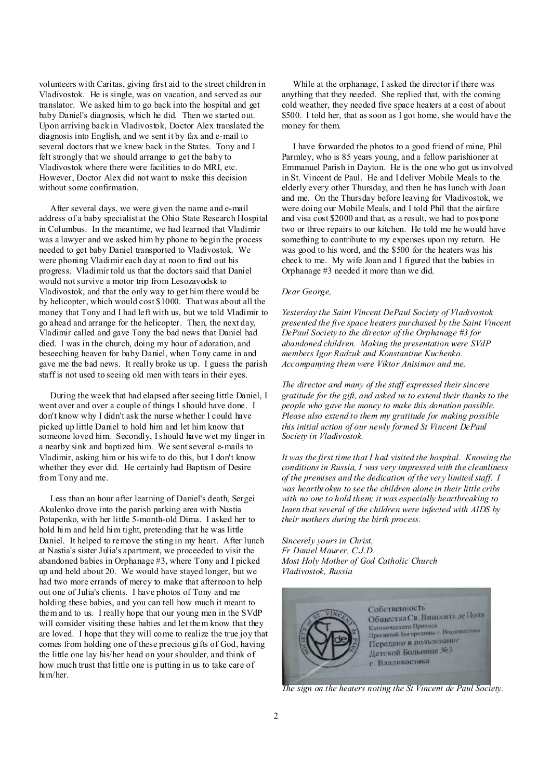volunteers with Caritas, giving first aid to the street children in Vladivostok. He is single, was on vacation, and served as our translator. We asked him to go back into the hospital and get baby Daniel's diagnosis, which he did. Then we started out. Upon arriving back in Vladivostok, Doctor Alex translated the diagnosis into English, and we sent it by fax and e-mail to several doctors that we knew back in the States. Tony and I felt strongly that we should arrange to get the baby to Vladivostok where there were facilities to do MRI, etc. However, Doctor Alex did not want to make this decision without some confirmation.

 After several days, we were given the name and e-mail address of a baby specialist at the Ohio State Research Hospital in Columbus. In the meantime, we had learned that Vladimir was a lawyer and we asked him by phone to begin the process needed to get baby Daniel transported to Vladivostok. We were phoning Vladimir each day at noon to find out his progress. Vladimir told us that the doctors said that Daniel would notsurvive a motor trip from Lesozavodsk to Vladivostok, and that the only way to get him there would be by helicopter, which would cost \$1000. That was about all the money that Tony and I had left with us, but we told Vladimir to go ahead and arrange for the helicopter. Then, the next day, Vladimir called and gave Tony the bad news that Daniel had died. I was in the church, doing my hour of adoration, and beseeching heaven for baby Daniel, when Tony came in and gave me the bad news. It really broke us up. I guess the parish staff is not used to seeing old men with tears in their eyes.

 During the week that had elapsed after seeing little Daniel, I went over and over a couple of things I should have done. I don't know why I didn't ask the nurse whether I could have picked up little Daniel to hold him and let him know that someone loved him. Secondly, Ishould have wet my finger in a nearby sink and baptized him. We sentseveral e-mails to Vladimir, asking him or his wife to do this, but I don't know whether they ever did. He certainly had Baptism of Desire from Tony and me.

 Less than an hour after learning of Daniel's death, Sergei Akulenko drove into the parish parking area with Nastia Potapenko, with her little 5-month-old Dima. I asked her to hold him and held him tight, pretending that he was little Daniel. It helped to remove the sting in my heart. After lunch at Nastia's sister Julia's apartment, we proceeded to visit the abandoned babies in Orphanage #3, where Tony and I picked up and held about 20. We would have stayed longer, but we had two more errands of mercy to make that afternoon to help out one of Julia's clients. I have photos of Tony and me holding these babies, and you can tell how much it meant to them and to us. I really hope that our young men in the SVdP will consider visiting these babies and let them know that they are loved. I hope that they will come to realize the true joy that comes from holding one of these precious gifts of God, having the little one lay his/her head on your shoulder, and think of how much trust that little one is putting in us to take care of him/her.

 While at the orphanage, I asked the director if there was anything that they needed. She replied that, with the coming cold weather, they needed five space heaters at a cost of about \$500. I told her, that as soon as I got home, she would have the money for them.

 I have forwarded the photos to a good friend of mine, Phil Parmley, who is 85 years young, and a fellow parishioner at Emmanuel Parish in Dayton. He is the one who got us involved in St. Vincent de Paul. He and I deliver Mobile Meals to the elderly every other Thursday, and then he has lunch with Joan and me. On the Thursday before leaving for Vladivostok, we were doing our Mobile Meals, and I told Phil that the airfare and visa cost \$2000 and that, as a result, we had to postpone two or three repairs to our kitchen. He told me he would have something to contribute to my expenses upon my return. He was good to his word, and the \$500 for the heaters was his check to me. My wife Joan and I figured that the babies in Orphanage #3 needed it more than we did.

### *Dear George,*

*Yesterday the Saint Vincent DePaul Society of Vladivostok presented the five space heaters purchased by the Saint Vincent DePaul Society to the director of the Orphanage #3 for abandoned children. Making the presentation were SVdP members Igor Radzuk and Konstantine Kuchenko. Accompanying them were Viktor Anisimov and me.* 

*The director and many of the staff expressed their sincere gratitude for the gift, and asked us to extend their thanks to the people who gave the money to make this donation possible. Please also extend to them my gratitude for making possible this initial action of our newly formed St Vincent DePaul Society in Vladivostok.* 

*It was the first time that I had visited the hospital. Knowing the conditions in Russia, I was very impressed with the cleanliness of the premises and the dedication of the very limited staff. I was heartbroken to see the children alone in their little cribs with no one to hold them; it was especially heartbreaking to learn that several of the children were infected with AIDS by their mothers during the birth process.* 

*Sincerely yours in Christ, Fr Daniel Maurer, C.J.D. Most Holy Mother of God Catholic Church Vladivostok, Russia* 



*The sign on the heaters noting the St Vincent de Paul Society.*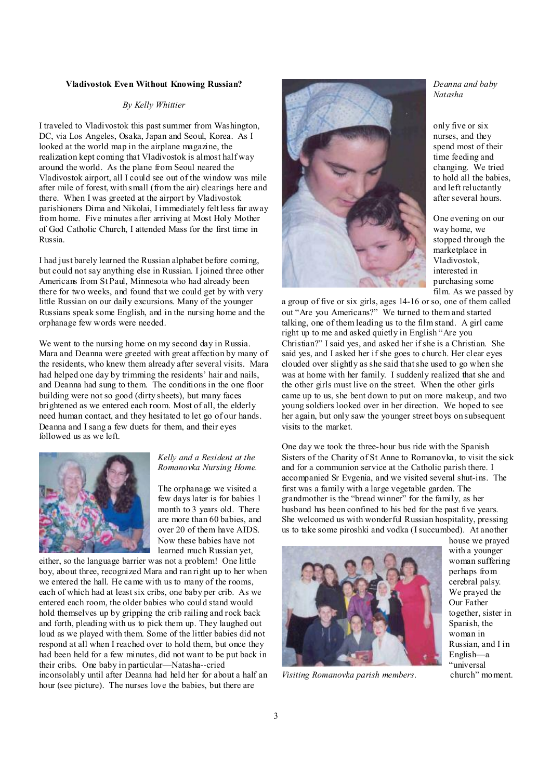#### **Vladivostok Even Without Knowing Russian?**

#### *By Kelly Whittier*

I traveled to Vladivostok this past summer from Washington, DC, via Los Angeles, Osaka, Japan and Seoul, Korea. As I looked at the world map in the airplane magazine, the realization kept coming that Vladivostok is almost half way around the world. As the plane from Seoul neared the Vladivostok airport, all I could see out of the window was mile after mile of forest, with small (from the air) clearings here and there. When I was greeted at the airport by Vladivostok parishioners Dima and Nikolai, I immediately felt less far away from home. Five minutes after arriving at Most Holy Mother of God Catholic Church, I attended Mass for the first time in Russia.

I had just barely learned the Russian alphabet before coming, but could not say anything else in Russian. I joined three other Americans from St Paul, Minnesota who had already been there for two weeks, and found that we could get by with very little Russian on our daily excursions. Many of the younger Russians speak some English, and in the nursing home and the orphanage few words were needed.

We went to the nursing home on my second day in Russia. Mara and Deanna were greeted with great affection by many of the residents, who knew them already after several visits. Mara had helped one day by trimming the residents' hair and nails, and Deanna had sung to them. The conditions in the one floor building were not so good (dirty sheets), but many faces brightened as we entered each room. Most of all, the elderly need human contact, and they hesitated to let go of our hands. Deanna and I sang a few duets for them, and their eyes followed us as we left.



#### *Kelly and a Resident at the Romanovka Nursing Home.*

The orphanage we visited a few days later is for babies 1 month to 3 years old. There are more than 60 babies, and over 20 of them have AIDS. Now these babies have not learned much Russian yet,

either, so the language barrier was not a problem! One little boy, about three, recognized Mara and ran right up to her when we entered the hall. He came with us to many of the rooms, each of which had at least six cribs, one baby per crib. As we entered each room, the older babies who could stand would hold themselves up by gripping the crib railing and rock back and forth, pleading with us to pick them up. They laughed out loud as we played with them. Some of the littler babies did not respond at all when I reached over to hold them, but once they had been held for a few minutes, did not want to be put back in their cribs. One baby in particular—Natasha--cried inconsolably until after Deanna had held her for about a half an hour (see picture). The nurses love the babies, but there are



*Deanna and baby Natasha* 

only five or six nurses, and they spend most of their time feeding and changing. We tried to hold all the babies, and left reluctantly after several hours.

One evening on our way home, we stopped through the marketplace in Vladivostok, interested in purchasing some film. As we passed by

a group of five or six girls, ages 14-16 or so, one of them called out "Are you Americans?" We turned to them and started talking, one of them leading us to the film stand. A girl came right up to me and asked quietly in English "Are you Christian?" I said yes, and asked her if she is a Christian. She said yes, and I asked her if she goes to church. Her clear eyes clouded over slightly as she said thatshe used to go when she was at home with her family. I suddenly realized that she and the other girls must live on the street. When the other girls came up to us, she bent down to put on more makeup, and two young soldiers looked over in her direction. We hoped to see her again, but only saw the younger street boys on subsequent visits to the market.

One day we took the three-hour bus ride with the Spanish Sisters of the Charity of St Anne to Romanovka, to visit the sick and for a communion service at the Catholic parish there. I accompanied Sr Evgenia, and we visited several shut-ins. The first was a family with a large vegetable garden. The grandmother is the "bread winner" for the family, as her husband has been confined to his bed for the past five years. She welcomed us with wonderful Russian hospitality, pressing us to take some piroshki and vodka (Isuccumbed). At another



*Visiting Romanovka parish members.* 

house we prayed with a younger woman suffering perhaps from cerebral palsy. We prayed the Our Father together, sister in Spanish, the woman in Russian, and I in English—a "universal<br>church" moment.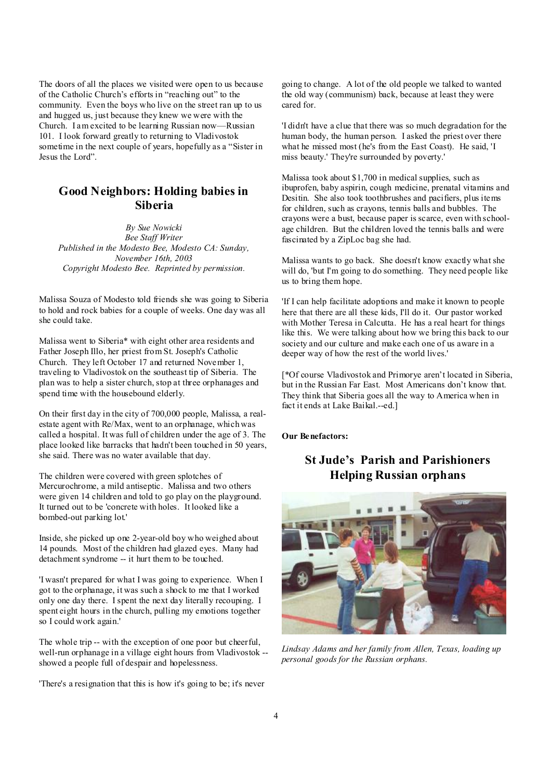The doors of all the places we visited were open to us because of the Catholic Church's efforts in "reaching out" to the community. Even the boys who live on the street ran up to us and hugged us, just because they knew we were with the Church. I am excited to be learning Russian now—Russian 101. I look forward greatly to returning to Vladivostok sometime in the next couple of years, hopefully as a "Sister in Jesus the Lord".

## **Good Neighbors: Holding babies in Siberia**

*By Sue Nowicki Bee Staff Writer Published in the Modesto Bee, Modesto CA: Sunday, November 16th, 2003 Copyright Modesto Bee. Reprinted by permission.* 

Malissa Souza of Modesto told friends she was going to Siberia to hold and rock babies for a couple of weeks. One day was all she could take.

Malissa went to Siberia\* with eight other area residents and Father Joseph Illo, her priest from St. Joseph's Catholic Church. They left October 17 and returned November 1, traveling to Vladivostok on the southeast tip of Siberia. The plan was to help a sister church, stop at three orphanages and spend time with the housebound elderly.

On their first day in the city of 700,000 people, Malissa, a realestate agent with Re/Max, went to an orphanage, which was called a hospital. It was full of children under the age of 3. The place looked like barracks that hadn't been touched in 50 years, she said. There was no water available that day.

The children were covered with green splotches of Mercurochrome, a mild antiseptic. Malissa and two others were given 14 children and told to go play on the playground. It turned out to be 'concrete with holes. It looked like a bombed-out parking lot.'

Inside, she picked up one 2-year-old boy who weighed about 14 pounds. Most of the children had glazed eyes. Many had detachment syndrome -- it hurt them to be touched.

'I wasn't prepared for what I was going to experience. When I got to the orphanage, it was such a shock to me that I worked only one day there. I spent the next day literally recouping. I spent eight hours in the church, pulling my emotions together so I could work again.'

The whole trip -- with the exception of one poor but cheerful, well-run orphanage in a village eight hours from Vladivostok - showed a people full of despair and hopelessness.

'There's a resignation that this is how it's going to be; it's never

going to change. A lot of the old people we talked to wanted the old way (communism) back, because at least they were cared for.

'I didn't have a clue that there was so much degradation for the human body, the human person. I asked the priest over there what he missed most (he's from the East Coast). He said, 'I miss beauty.' They're surrounded by poverty.'

Malissa took about \$1,700 in medical supplies, such as ibuprofen, baby aspirin, cough medicine, prenatal vitamins and Desitin. She also took toothbrushes and pacifiers, plus items for children, such as crayons, tennis balls and bubbles. The crayons were a bust, because paper is scarce, even with schoolage children. But the children loved the tennis balls and were fascinated by a ZipLoc bag she had.

Malissa wants to go back. She doesn't know exactly what she will do, 'but I'm going to do something. They need people like us to bring them hope.

'If I can help facilitate adoptions and make it known to people here that there are all these kids, I'll do it. Our pastor worked with Mother Teresa in Calcutta. He has a real heart for things like this. We were talking about how we bring this back to our society and our culture and make each one of us aware in a deeper way of how the rest of the world lives.'

[\*Of course Vladivostok and Primorye aren't located in Siberia, but in the Russian Far East. Most Americans don't know that. They think that Siberia goes all the way to America when in fact it ends at Lake Baikal.--ed.]

**Our Benefactors:** 

# **St Jude's Parish and Parishioners Helping Russian orphans**



*Lindsay Adams and her family from Allen, Texas, loading up personal goods for the Russian orphans.*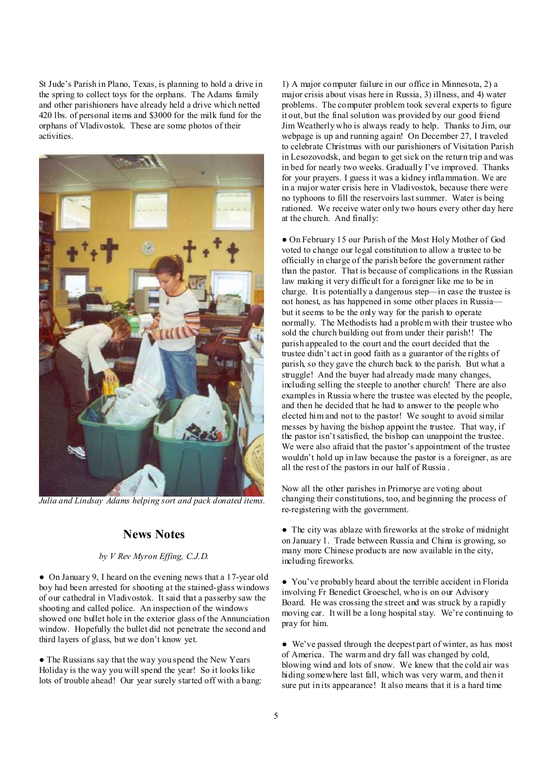St Jude's Parish in Plano, Texas, is planning to hold a drive in the spring to collect toys for the orphans. The Adams family and other parishioners have already held a drive which netted 420 lbs. of personal items and \$3000 for the milk fund for the orphans of Vladivostok. These are some photos of their activities.



*Julia and Lindsay Adams helping sort and pack donated items.* 

## **News Notes**

### *by V Rev Myron Effing, C.J.D.*

● On January 9, I heard on the evening news that a 17-year old boy had been arrested for shooting at the stained-glass windows of our cathedral in Vladivostok. It said that a passerby saw the shooting and called police. An inspection of the windows showed one bullet hole in the exterior glass of the Annunciation window. Hopefully the bullet did not penetrate the second and third layers of glass, but we don't know yet.

• The Russians say that the way you spend the New Years Holiday is the way you will spend the year! So it looks like lots of trouble ahead! Our year surely started off with a bang:

1) A major computer failure in our office in Minnesota, 2) a major crisis about visas here in Russia, 3) illness, and 4) water problems. The computer problem took several experts to figure it out, but the final solution was provided by our good friend Jim Weatherly who is always ready to help. Thanks to Jim, our webpage is up and running again! On December 27, I traveled to celebrate Christmas with our parishioners of Visitation Parish in Lesozovodsk, and began to get sick on the return trip and was in bed for nearly two weeks. Gradually I've improved. Thanks for your prayers. I guess it was a kidney inflammation. We are in a major water crisis here in Vladivostok, because there were no typhoons to fill the reservoirs lastsummer. Water is being rationed. We receive water only two hours every other day here at the church. And finally:

● On February 15 our Parish of the Most Holy Mother of God voted to change our legal constitution to allow a trustee to be officially in charge of the parish before the government rather than the pastor. That is because of complications in the Russian law making it very difficult for a foreigner like me to be in charge. It is potentially a dangerous step—in case the trustee is not honest, as has happened in some other places in Russia but it seems to be the only way for the parish to operate normally. The Methodists had a problem with their trustee who sold the church building out from under their parish!! The parish appealed to the court and the court decided that the trustee didn't act in good faith as a guarantor of the rights of parish, so they gave the church back to the parish. But what a struggle! And the buyer had already made many changes, including selling the steeple to another church! There are also examples in Russia where the trustee was elected by the people, and then he decided that he had to answer to the people who elected him and not to the pastor! We sought to avoid similar messes by having the bishop appoint the trustee. That way, if the pastor isn'tsatisfied, the bishop can unappoint the trustee. We were also afraid that the pastor's appointment of the trustee wouldn't hold up in law because the pastor is a foreigner, as are all the rest of the pastors in our half of Russia .

Now all the other parishes in Primorye are voting about changing their constitutions, too, and beginning the process of re-registering with the government.

• The city was ablaze with fireworks at the stroke of midnight on January 1. Trade between Russia and China is growing, so many more Chinese products are now available in the city, including fireworks.

● You've probably heard about the terrible accident in Florida involving Fr Benedict Groeschel, who is on our Advisory Board. He was crossing the street and was struck by a rapidly moving car. It will be a long hospital stay. We're continuing to pray for him.

● We've passed through the deepest part of winter, as has most of America. The warm and dry fall was changed by cold, blowing wind and lots of snow. We knew that the cold air was hiding somewhere last fall, which was very warm, and then it sure put in its appearance! It also means that it is a hard time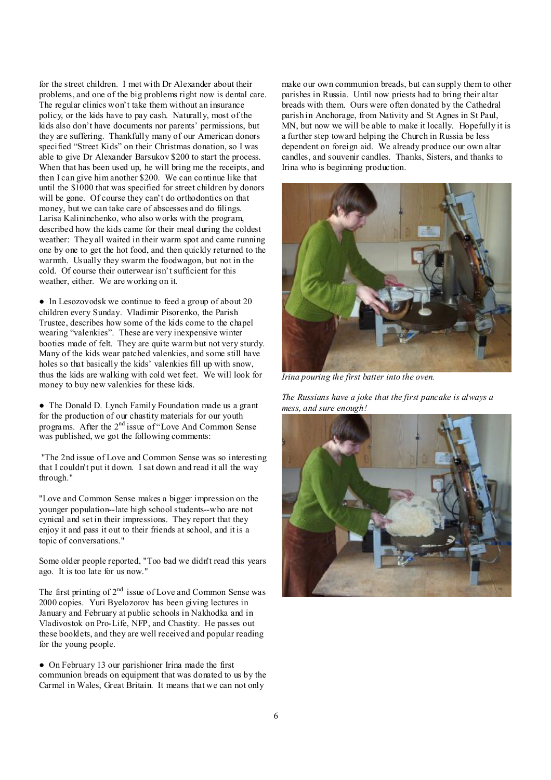for the street children. I met with Dr Alexander about their problems, and one of the big problems right now is dental care. The regular clinics won't take them without an insurance policy, or the kids have to pay cash. Naturally, most of the kids also don't have documents nor parents' permissions, but they are suffering. Thankfully many of our American donors specified "Street Kids" on their Christmas donation, so I was able to give Dr Alexander Barsukov \$200 to start the process. When that has been used up, he will bring me the receipts, and then I can give him another \$200. We can continue like that until the \$1000 that was specified for street children by donors will be gone. Of course they can't do orthodontics on that money, but we can take care of abscesses and do filings. Larisa Kalininchenko, who also works with the program, described how the kids came for their meal during the coldest weather: They all waited in their warm spot and came running one by one to get the hot food, and then quickly returned to the warmth. Usually they swarm the foodwagon, but not in the cold. Of course their outerwear isn't sufficient for this weather, either. We are working on it.

● In Lesozovodsk we continue to feed a group of about 20 children every Sunday. Vladimir Pisorenko, the Parish Trustee, describes how some of the kids come to the chapel wearing "valenkies". These are very inexpensive winter booties made of felt. They are quite warm but not very sturdy. Many of the kids wear patched valenkies, and some still have holes so that basically the kids' valenkies fill up with snow, thus the kids are walking with cold wet feet. We will look for money to buy new valenkies for these kids.

• The Donald D. Lynch Family Foundation made us a grant for the production of our chastity materials for our youth programs. After the 2nd issue of "Love And Common Sense was published, we got the following comments:

"The 2nd issue of Love and Common Sense was so interesting that I couldn't put it down. I sat down and read it all the way through."

"Love and Common Sense makes a bigger impression on the younger population--late high school students--who are not cynical and set in their impressions. They report that they enjoy it and pass it out to their friends at school, and it is a topic of conversations."

Some older people reported, "Too bad we didn't read this years ago. It is too late for us now."

The first printing of 2<sup>nd</sup> issue of Love and Common Sense was 2000 copies. Yuri Byelozorov has been giving lectures in January and February at public schools in Nakhodka and in Vladivostok on Pro-Life, NFP, and Chastity. He passes out these booklets, and they are well received and popular reading for the young people.

• On February 13 our parishioner Irina made the first communion breads on equipment that was donated to us by the Carmel in Wales, Great Britain. It means that we can not only

make our own communion breads, but can supply them to other parishes in Russia. Until now priests had to bring their altar breads with them. Ours were often donated by the Cathedral parish in Anchorage, from Nativity and St Agnes in St Paul, MN, but now we will be able to make it locally. Hopefully it is a further step toward helping the Church in Russia be less dependent on foreign aid. We already produce our own altar candles, and souvenir candles. Thanks, Sisters, and thanks to Irina who is beginning production.



*Irina pouring the first batter into the oven.* 

*The Russians have a joke that the first pancake is always a mess, and sure enough!* 

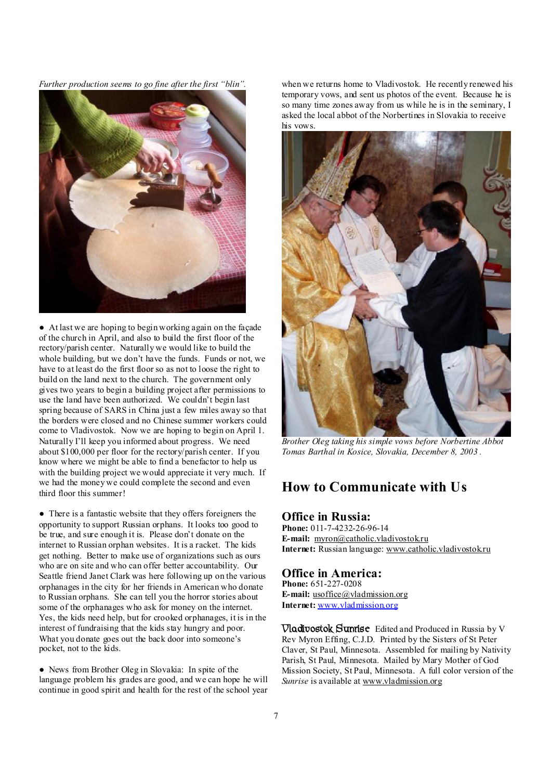*Further production seems to go fine after the first "blin".* 



● At last we are hoping to begin working again on the façade of the church in April, and also to build the first floor of the rectory/parish center. Naturally we would like to build the whole building, but we don't have the funds. Funds or not, we have to at least do the first floor so as not to loose the right to build on the land next to the church. The government only gives two years to begin a building project after permissions to use the land have been authorized. We couldn't begin last spring because of SARS in China just a few miles away so that the borders were closed and no Chinese summer workers could come to Vladivostok. Now we are hoping to begin on April 1. Naturally I'll keep you informed about progress. We need about \$100,000 per floor for the rectory/parish center. If you know where we might be able to find a benefactor to help us with the building project we would appreciate it very much. If we had the money we could complete the second and even third floor this summer!

● There is a fantastic website that they offers foreigners the opportunity to support Russian orphans. It looks too good to be true, and sure enough it is. Please don't donate on the internet to Russian orphan websites. It is a racket. The kids get nothing. Better to make use of organizations such as ours who are on site and who can offer better accountability. Our Seattle friend Janet Clark was here following up on the various orphanages in the city for her friends in American who donate to Russian orphans. She can tell you the horror stories about some of the orphanages who ask for money on the internet. Yes, the kids need help, but for crooked orphanages, it is in the interest of fundraising that the kids stay hungry and poor. What you donate goes out the back door into someone's pocket, not to the kids.

● News from Brother Oleg in Slovakia: In spite of the language problem his grades are good, and we can hope he will continue in good spirit and health for the rest of the school year when we returns home to Vladivostok. He recently renewed his temporary vows, and sent us photos of the event. Because he is so many time zones away from us while he is in the seminary, I asked the local abbot of the Norbertines in Slovakia to receive his vows.



*Brother Oleg taking his simple vows before Norbertine Abbot Tomas Barthal in Kosice, Slovakia, December 8, 2003 .*

# **How to Communicate with Us**

## **Office in Russia:**

**Phone:** 011-7-4232-26-96-14 **E-mail:** [myron@catholic.vladivostok.ru](mailto:myron@catholic.vladivostok.ru) **Internet:** Russian language: [www.catholic.vladivostok.ru](http://www.catholic.vladivostok.ru)

### **Office in America:**

**Phone:** 651-227-0208 **E-mail:** [usoffice@vladmission.org](mailto:usoffice@vladmission.org) **Internet:** [www.vladmission.org](http://www.vladmission.org)

**Vladivostok Sunrise** Edited and Produced in Russia by V Rev Myron Effing, C.J.D. Printed by the Sisters of St Peter Claver, St Paul, Minnesota. Assembled for mailing by Nativity Parish, St Paul, Minnesota. Mailed by Mary Mother of God Mission Society, St Paul, Minnesota. A full color version of the *Sunrise* is available at [www.vladmission.org](http://www.vladmission.org)